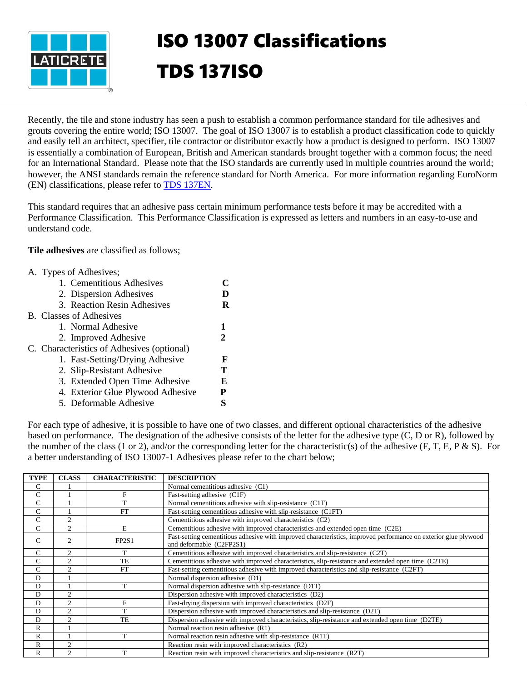

## ISO 13007 Classifications TDS 137ISO

Recently, the tile and stone industry has seen a push to establish a common performance standard for tile adhesives and grouts covering the entire world; ISO 13007. The goal of ISO 13007 is to establish a product classification code to quickly and easily tell an architect, specifier, tile contractor or distributor exactly how a product is designed to perform. ISO 13007 is essentially a combination of European, British and American standards brought together with a common focus; the need for an International Standard. Please note that the ISO standards are currently used in multiple countries around the world; however, the ANSI standards remain the reference standard for North America. For more information regarding EuroNorm (EN) classifications, please refer to [TDS 137EN.](https://cdn.laticrete.com/~/media/support-and-downloads/technical-datasheets/tds137en.ashx)

This standard requires that an adhesive pass certain minimum performance tests before it may be accredited with a Performance Classification. This Performance Classification is expressed as letters and numbers in an easy-to-use and understand code.

**Tile adhesives** are classified as follows;

| D  |
|----|
|    |
|    |
| R. |
|    |
|    |
| 2  |
|    |
| F  |
| Т  |
| E  |
| P  |
|    |
|    |

For each type of adhesive, it is possible to have one of two classes, and different optional characteristics of the adhesive based on performance. The designation of the adhesive consists of the letter for the adhesive type (C, D or R), followed by the number of the class (1 or 2), and/or the corresponding letter for the characteristic(s) of the adhesive (F, T, E, P & S). For a better understanding of ISO 13007-1 Adhesives please refer to the chart below;

| <b>TYPE</b>   | <b>CLASS</b>   | <b>CHARACTERISTIC</b> | <b>DESCRIPTION</b>                                                                                                                          |
|---------------|----------------|-----------------------|---------------------------------------------------------------------------------------------------------------------------------------------|
| C             |                |                       | Normal cementitious adhesive (C1)                                                                                                           |
| C             |                | F                     | Fast-setting adhesive (C1F)                                                                                                                 |
| C             |                | T                     | Normal cementitious adhesive with slip-resistance (C1T)                                                                                     |
| C             |                | <b>FT</b>             | Fast-setting cementitious adhesive with slip-resistance (C1FT)                                                                              |
| C             | $\overline{c}$ |                       | Cementitious adhesive with improved characteristics (C2)                                                                                    |
| $\mathcal{C}$ | $\overline{2}$ | E                     | Cementitious adhesive with improved characteristics and extended open time (C2E)                                                            |
| C             | $\overline{2}$ | FP2S1                 | Fast-setting cementitious adhesive with improved characteristics, improved performance on exterior glue plywood<br>and deformable (C2FP2S1) |
| $\mathsf{C}$  | $\overline{2}$ | T                     | Cementitious adhesive with improved characteristics and slip-resistance (C2T)                                                               |
| C             | $\overline{2}$ | TE                    | Cementitious adhesive with improved characteristics, slip-resistance and extended open time (C2TE)                                          |
| C             | $\mathfrak{D}$ | <b>FT</b>             | Fast-setting cementitious adhesive with improved characteristics and slip-resistance (C2FT)                                                 |
| D             |                |                       | Normal dispersion adhesive (D1)                                                                                                             |
| D             |                | T                     | Normal dispersion adhesive with slip-resistance (D1T)                                                                                       |
| D             | $\overline{c}$ |                       | Dispersion adhesive with improved characteristics (D2)                                                                                      |
| D             | $\overline{c}$ | F                     | Fast-drying dispersion with improved characteristics (D2F)                                                                                  |
| D             | $\overline{2}$ | T                     | Dispersion adhesive with improved characteristics and slip-resistance (D2T)                                                                 |
| D             | $\overline{c}$ | TE                    | Dispersion adhesive with improved characteristics, slip-resistance and extended open time (D2TE)                                            |
| R             |                |                       | Normal reaction resin adhesive (R1)                                                                                                         |
| $\mathbb{R}$  |                | T                     | Normal reaction resin adhesive with slip-resistance (R1T)                                                                                   |
| $\mathbb{R}$  | $\mathfrak{D}$ |                       | Reaction resin with improved characteristics (R2)                                                                                           |
| R             | $\overline{c}$ | т                     | Reaction resin with improved characteristics and slip-resistance (R2T)                                                                      |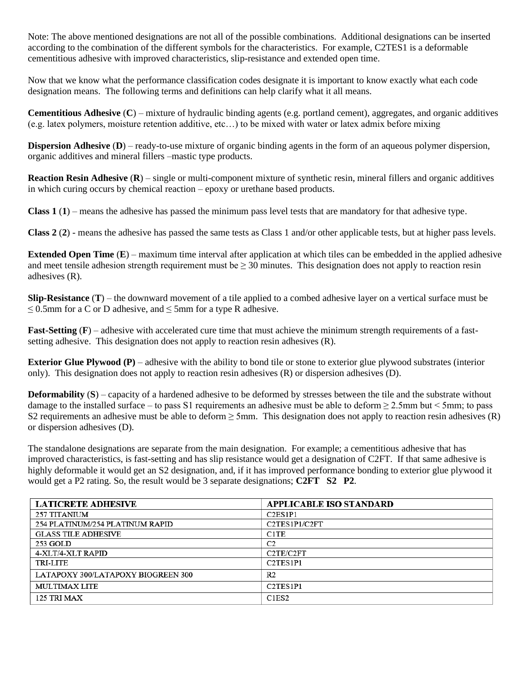Note: The above mentioned designations are not all of the possible combinations. Additional designations can be inserted according to the combination of the different symbols for the characteristics. For example, C2TES1 is a deformable cementitious adhesive with improved characteristics, slip-resistance and extended open time.

Now that we know what the performance classification codes designate it is important to know exactly what each code designation means. The following terms and definitions can help clarify what it all means.

**Cementitious Adhesive** (**C**) – mixture of hydraulic binding agents (e.g. portland cement), aggregates, and organic additives (e.g. latex polymers, moisture retention additive, etc…) to be mixed with water or latex admix before mixing

**Dispersion Adhesive** (**D**) – ready-to-use mixture of organic binding agents in the form of an aqueous polymer dispersion, organic additives and mineral fillers –mastic type products.

**Reaction Resin Adhesive** (**R**) – single or multi-component mixture of synthetic resin, mineral fillers and organic additives in which curing occurs by chemical reaction – epoxy or urethane based products.

**Class 1** (**1**) – means the adhesive has passed the minimum pass level tests that are mandatory for that adhesive type.

**Class 2** (**2**) - means the adhesive has passed the same tests as Class 1 and/or other applicable tests, but at higher pass levels.

**Extended Open Time** (**E**) – maximum time interval after application at which tiles can be embedded in the applied adhesive and meet tensile adhesion strength requirement must be  $\geq$  30 minutes. This designation does not apply to reaction resin adhesives (R).

**Slip-Resistance** (**T**) – the downward movement of a tile applied to a combed adhesive layer on a vertical surface must be  $\leq$  0.5mm for a C or D adhesive, and  $\leq$  5mm for a type R adhesive.

**Fast-Setting (F)** – adhesive with accelerated cure time that must achieve the minimum strength requirements of a fastsetting adhesive. This designation does not apply to reaction resin adhesives (R).

**Exterior Glue Plywood (P)** – adhesive with the ability to bond tile or stone to exterior glue plywood substrates (interior only). This designation does not apply to reaction resin adhesives (R) or dispersion adhesives (D).

**Deformability (S)** – capacity of a hardened adhesive to be deformed by stresses between the tile and the substrate without damage to the installed surface – to pass S1 requirements an adhesive must be able to deform  $\geq 2.5$ mm but  $\leq 5$ mm; to pass S2 requirements an adhesive must be able to deform  $\geq$  5mm. This designation does not apply to reaction resin adhesives (R) or dispersion adhesives (D).

The standalone designations are separate from the main designation. For example; a cementitious adhesive that has improved characteristics, is fast-setting and has slip resistance would get a designation of C2FT. If that same adhesive is highly deformable it would get an S2 designation, and, if it has improved performance bonding to exterior glue plywood it would get a P2 rating. So, the result would be 3 separate designations; **C2FT S2 P2**.

| <b>LATICRETE ADHESIVE</b>          | <b>APPLICABLE ISO STANDARD</b>                 |
|------------------------------------|------------------------------------------------|
| 257 TITANIUM                       | C <sub>2</sub> E <sub>S</sub> <sub>1P1</sub>   |
| 254 PLATINUM/254 PLATINUM RAPID    | C2TES1P1/C2FT                                  |
| <b>GLASS TILE ADHESIVE</b>         | C <sub>1</sub> T <sub>E</sub>                  |
| 253 GOLD                           | C <sub>2</sub>                                 |
| 4-XLT/4-XLT RAPID                  | C2TE/C2FT                                      |
| <b>TRI-LITE</b>                    | C <sub>2</sub> TES <sub>1</sub> P <sub>1</sub> |
| LATAPOXY 300/LATAPOXY BIOGREEN 300 | R <sub>2</sub>                                 |
| <b>MULTIMAX LITE</b>               | C <sub>2</sub> TES <sub>1</sub> P <sub>1</sub> |
| 125 TRI MAX                        | C <sub>1</sub> E <sub>S2</sub>                 |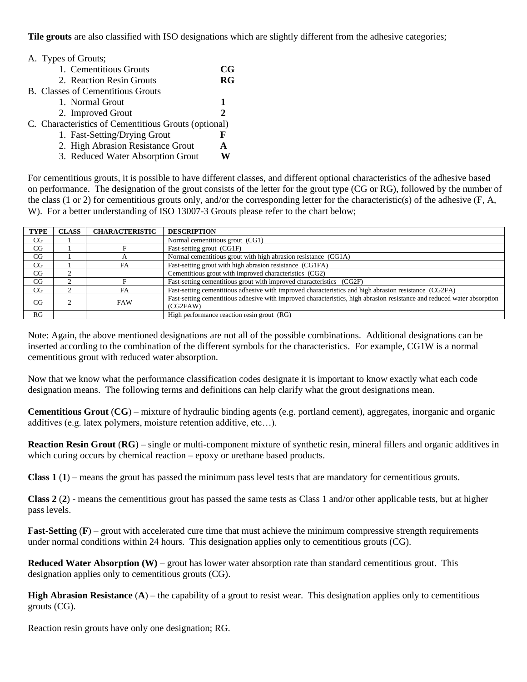**Tile grouts** are also classified with ISO designations which are slightly different from the adhesive categories;

| A. Types of Grouts;                                  |    |
|------------------------------------------------------|----|
| 1. Cementitious Grouts                               | CG |
| 2. Reaction Resin Grouts                             | RG |
| <b>B.</b> Classes of Cementitious Grouts             |    |
| 1. Normal Grout                                      | 1  |
| 2. Improved Grout                                    | 2  |
| C. Characteristics of Cementitious Grouts (optional) |    |
| 1. Fast-Setting/Drying Grout                         | F  |
| 2. High Abrasion Resistance Grout                    | A  |
| 3. Reduced Water Absorption Grout                    |    |

For cementitious grouts, it is possible to have different classes, and different optional characteristics of the adhesive based on performance. The designation of the grout consists of the letter for the grout type (CG or RG), followed by the number of the class (1 or 2) for cementitious grouts only, and/or the corresponding letter for the characteristic(s) of the adhesive (F, A, W). For a better understanding of ISO 13007-3 Grouts please refer to the chart below;

| <b>TYPE</b> | <b>CLASS</b> | <b>CHARACTERISTIC</b> | <b>DESCRIPTION</b>                                                                                                                  |
|-------------|--------------|-----------------------|-------------------------------------------------------------------------------------------------------------------------------------|
| CG          |              |                       | Normal cementitious grout (CG1)                                                                                                     |
| CG          |              |                       | Fast-setting grout (CG1F)                                                                                                           |
| CG          |              |                       | Normal cementitious grout with high abrasion resistance (CG1A)                                                                      |
| CG          |              | FA                    | Fast-setting grout with high abrasion resistance (CG1FA)                                                                            |
| CG          |              |                       | Cementitious grout with improved characteristics (CG2)                                                                              |
| CG          |              |                       | Fast-setting cementitious grout with improved characteristics (CG2F)                                                                |
| CG          |              | FA                    | Fast-setting cementitious adhesive with improved characteristics and high abrasion resistance (CG2FA)                               |
| CG          |              | <b>FAW</b>            | Fast-setting cementitious adhesive with improved characteristics, high abrasion resistance and reduced water absorption<br>(CG2FAW) |
| RG          |              |                       | High performance reaction resin grout (RG)                                                                                          |

Note: Again, the above mentioned designations are not all of the possible combinations. Additional designations can be inserted according to the combination of the different symbols for the characteristics. For example, CG1W is a normal cementitious grout with reduced water absorption.

Now that we know what the performance classification codes designate it is important to know exactly what each code designation means. The following terms and definitions can help clarify what the grout designations mean.

**Cementitious Grout** (**CG**) – mixture of hydraulic binding agents (e.g. portland cement), aggregates, inorganic and organic additives (e.g. latex polymers, moisture retention additive, etc…).

**Reaction Resin Grout** (**RG**) – single or multi-component mixture of synthetic resin, mineral fillers and organic additives in which curing occurs by chemical reaction – epoxy or urethane based products.

**Class 1** (**1**) – means the grout has passed the minimum pass level tests that are mandatory for cementitious grouts.

**Class 2** (**2**) - means the cementitious grout has passed the same tests as Class 1 and/or other applicable tests, but at higher pass levels.

**Fast-Setting (F)** – grout with accelerated cure time that must achieve the minimum compressive strength requirements under normal conditions within 24 hours. This designation applies only to cementitious grouts (CG).

**Reduced Water Absorption (W)** – grout has lower water absorption rate than standard cementitious grout. This designation applies only to cementitious grouts (CG).

**High Abrasion Resistance** (**A**) – the capability of a grout to resist wear. This designation applies only to cementitious grouts (CG).

Reaction resin grouts have only one designation; RG.